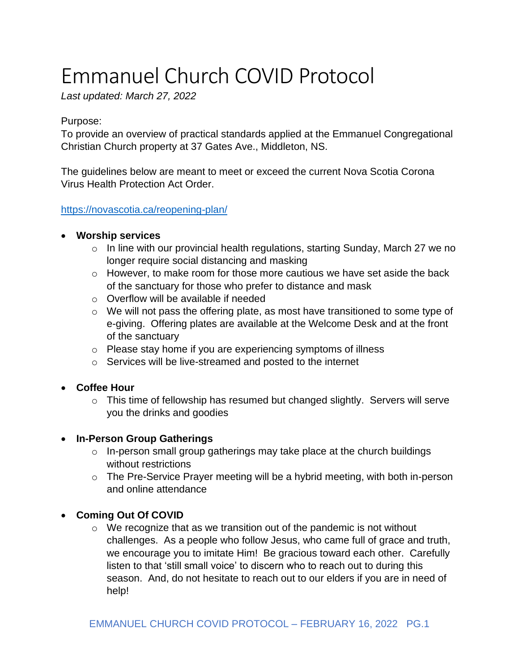# Emmanuel Church COVID Protocol

*Last updated: March 27, 2022*

### Purpose:

To provide an overview of practical standards applied at the Emmanuel Congregational Christian Church property at 37 Gates Ave., Middleton, NS.

The guidelines below are meant to meet or exceed the current Nova Scotia Corona Virus Health Protection Act Order.

<https://novascotia.ca/reopening-plan/>

## • **Worship services**

- $\circ$  In line with our provincial health regulations, starting Sunday, March 27 we no longer require social distancing and masking
- $\circ$  However, to make room for those more cautious we have set aside the back of the sanctuary for those who prefer to distance and mask
- o Overflow will be available if needed
- o We will not pass the offering plate, as most have transitioned to some type of e-giving. Offering plates are available at the Welcome Desk and at the front of the sanctuary
- o Please stay home if you are experiencing symptoms of illness
- o Services will be live-streamed and posted to the internet
- **Coffee Hour**
	- o This time of fellowship has resumed but changed slightly. Servers will serve you the drinks and goodies

## • **In-Person Group Gatherings**

- o In-person small group gatherings may take place at the church buildings without restrictions
- o The Pre-Service Prayer meeting will be a hybrid meeting, with both in-person and online attendance

## • **Coming Out Of COVID**

 $\circ$  We recognize that as we transition out of the pandemic is not without challenges. As a people who follow Jesus, who came full of grace and truth, we encourage you to imitate Him! Be gracious toward each other. Carefully listen to that 'still small voice' to discern who to reach out to during this season. And, do not hesitate to reach out to our elders if you are in need of help!